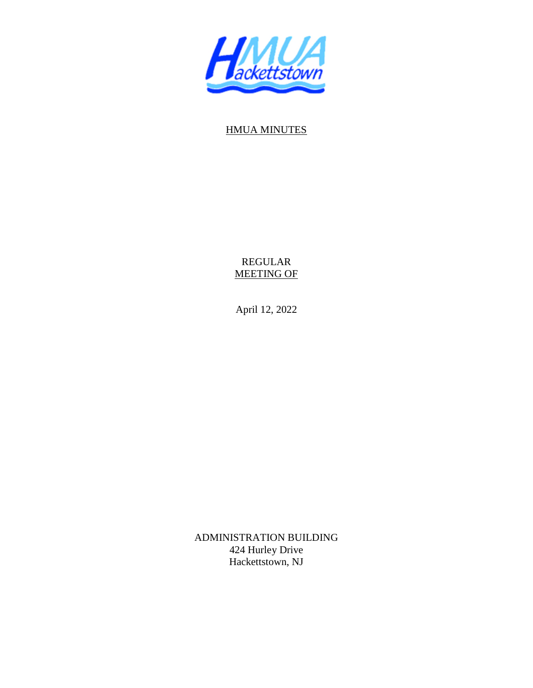

## HMUA MINUTES

REGULAR MEETING OF

April 12, 2022

ADMINISTRATION BUILDING 424 Hurley Drive Hackettstown, NJ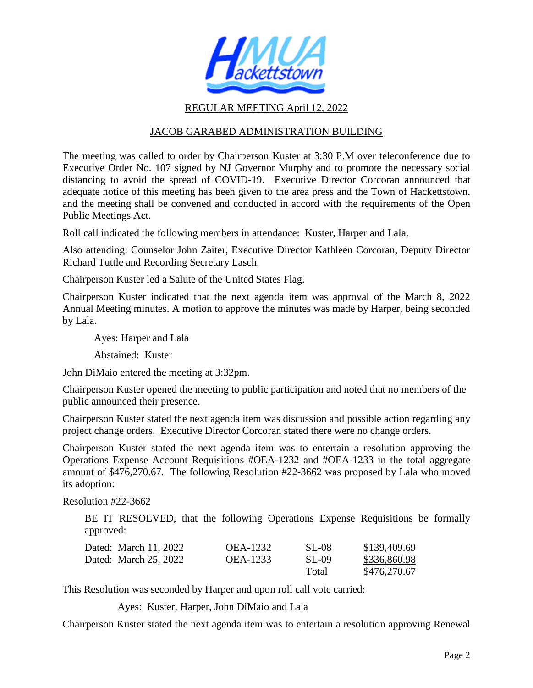

## REGULAR MEETING April 12, 2022

## JACOB GARABED ADMINISTRATION BUILDING

The meeting was called to order by Chairperson Kuster at 3:30 P.M over teleconference due to Executive Order No. 107 signed by NJ Governor Murphy and to promote the necessary social distancing to avoid the spread of COVID-19. Executive Director Corcoran announced that adequate notice of this meeting has been given to the area press and the Town of Hackettstown, and the meeting shall be convened and conducted in accord with the requirements of the Open Public Meetings Act.

Roll call indicated the following members in attendance: Kuster, Harper and Lala.

Also attending: Counselor John Zaiter, Executive Director Kathleen Corcoran, Deputy Director Richard Tuttle and Recording Secretary Lasch.

Chairperson Kuster led a Salute of the United States Flag.

Chairperson Kuster indicated that the next agenda item was approval of the March 8, 2022 Annual Meeting minutes. A motion to approve the minutes was made by Harper, being seconded by Lala.

Ayes: Harper and Lala

Abstained: Kuster

John DiMaio entered the meeting at 3:32pm.

Chairperson Kuster opened the meeting to public participation and noted that no members of the public announced their presence.

Chairperson Kuster stated the next agenda item was discussion and possible action regarding any project change orders. Executive Director Corcoran stated there were no change orders.

Chairperson Kuster stated the next agenda item was to entertain a resolution approving the Operations Expense Account Requisitions #OEA-1232 and #OEA-1233 in the total aggregate amount of \$476,270.67. The following Resolution #22-3662 was proposed by Lala who moved its adoption:

Resolution #22-3662

BE IT RESOLVED, that the following Operations Expense Requisitions be formally approved:

| Dated: March 11, 2022 | <b>OEA-1232</b> | <b>SL-08</b> | \$139,409.69 |
|-----------------------|-----------------|--------------|--------------|
| Dated: March 25, 2022 | OEA-1233        | SL-09        | \$336,860.98 |
|                       |                 | Total        | \$476,270.67 |

This Resolution was seconded by Harper and upon roll call vote carried:

Ayes: Kuster, Harper, John DiMaio and Lala

Chairperson Kuster stated the next agenda item was to entertain a resolution approving Renewal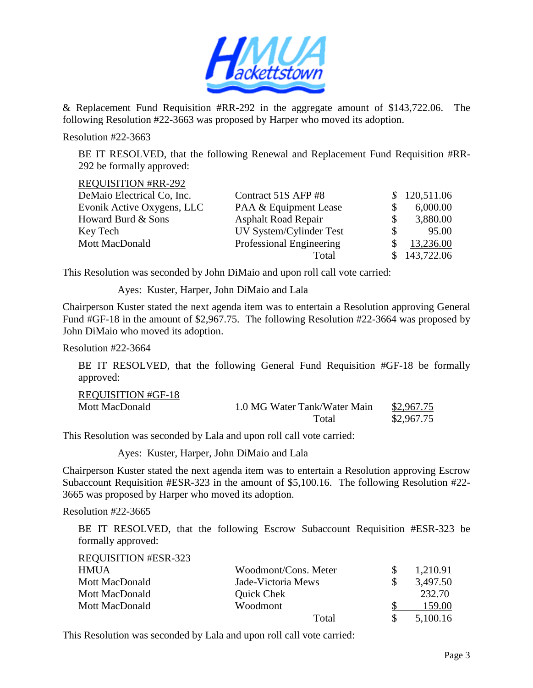

& Replacement Fund Requisition #RR-292 in the aggregate amount of \$143,722.06. The following Resolution #22-3663 was proposed by Harper who moved its adoption.

Resolution #22-3663

BE IT RESOLVED, that the following Renewal and Replacement Fund Requisition #RR-292 be formally approved:

REQUISITION #RR-292

| DeMaio Electrical Co, Inc. | Contract 51S AFP #8        | \$120,511.06 |
|----------------------------|----------------------------|--------------|
| Evonik Active Oxygens, LLC | PAA & Equipment Lease      | 6,000.00     |
| Howard Burd & Sons         | <b>Asphalt Road Repair</b> | 3,880.00     |
| Key Tech                   | UV System/Cylinder Test    | 95.00        |
| Mott MacDonald             | Professional Engineering   | 13,236.00    |
|                            | Total                      | \$143,722.06 |

This Resolution was seconded by John DiMaio and upon roll call vote carried:

Ayes: Kuster, Harper, John DiMaio and Lala

Chairperson Kuster stated the next agenda item was to entertain a Resolution approving General Fund #GF-18 in the amount of \$2,967.75. The following Resolution #22-3664 was proposed by John DiMaio who moved its adoption.

Resolution #22-3664

 BE IT RESOLVED, that the following General Fund Requisition #GF-18 be formally approved:

| <b>REQUISITION #GF-18</b> |                              |            |
|---------------------------|------------------------------|------------|
| Mott MacDonald            | 1.0 MG Water Tank/Water Main | \$2,967.75 |
|                           | Total                        | \$2,967.75 |

This Resolution was seconded by Lala and upon roll call vote carried:

Ayes: Kuster, Harper, John DiMaio and Lala

Chairperson Kuster stated the next agenda item was to entertain a Resolution approving Escrow Subaccount Requisition #ESR-323 in the amount of \$5,100.16. The following Resolution #22- 3665 was proposed by Harper who moved its adoption.

Resolution #22-3665

BE IT RESOLVED, that the following Escrow Subaccount Requisition #ESR-323 be formally approved:

| <b>REQUISITION #ESR-323</b> |                      |          |
|-----------------------------|----------------------|----------|
| <b>HMUA</b>                 | Woodmont/Cons. Meter | 1,210.91 |
| Mott MacDonald              | Jade-Victoria Mews   | 3,497.50 |
| Mott MacDonald              | Quick Chek           | 232.70   |
| Mott MacDonald              | Woodmont             | 159.00   |
|                             | Total                | 5,100.16 |

This Resolution was seconded by Lala and upon roll call vote carried: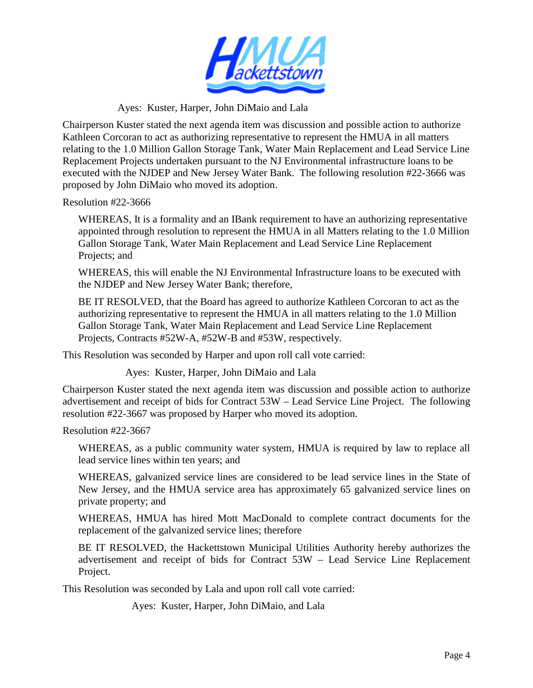

Ayes: Kuster, Harper, John DiMaio and Lala

Chairperson Kuster stated the next agenda item was discussion and possible action to authorize Kathleen Corcoran to act as authorizing representative to represent the HMUA in all matters relating to the 1.0 Million Gallon Storage Tank, Water Main Replacement and Lead Service Line Replacement Projects undertaken pursuant to the NJ Environmental infrastructure loans to be executed with the NJDEP and New Jersey Water Bank. The following resolution #22-3666 was proposed by John DiMaio who moved its adoption.

Resolution #22-3666

WHEREAS, It is a formality and an IBank requirement to have an authorizing representative appointed through resolution to represent the HMUA in all Matters relating to the 1.0 Million Gallon Storage Tank, Water Main Replacement and Lead Service Line Replacement Projects; and

WHEREAS, this will enable the NJ Environmental Infrastructure loans to be executed with the NJDEP and New Jersey Water Bank; therefore,

BE IT RESOLVED, that the Board has agreed to authorize Kathleen Corcoran to act as the authorizing representative to represent the HMUA in all matters relating to the 1.0 Million Gallon Storage Tank, Water Main Replacement and Lead Service Line Replacement Projects, Contracts #52W-A, #52W-B and #53W, respectively.

This Resolution was seconded by Harper and upon roll call vote carried:

Ayes: Kuster, Harper, John DiMaio and Lala

Chairperson Kuster stated the next agenda item was discussion and possible action to authorize advertisement and receipt of bids for Contract 53W – Lead Service Line Project. The following resolution #22-3667 was proposed by Harper who moved its adoption.

Resolution #22-3667

WHEREAS, as a public community water system, HMUA is required by law to replace all lead service lines within ten years; and

WHEREAS, galvanized service lines are considered to be lead service lines in the State of New Jersey, and the HMUA service area has approximately 65 galvanized service lines on private property; and

WHEREAS, HMUA has hired Mott MacDonald to complete contract documents for the replacement of the galvanized service lines; therefore

BE IT RESOLVED, the Hackettstown Municipal Utilities Authority hereby authorizes the advertisement and receipt of bids for Contract 53W – Lead Service Line Replacement Project.

This Resolution was seconded by Lala and upon roll call vote carried:

Ayes: Kuster, Harper, John DiMaio, and Lala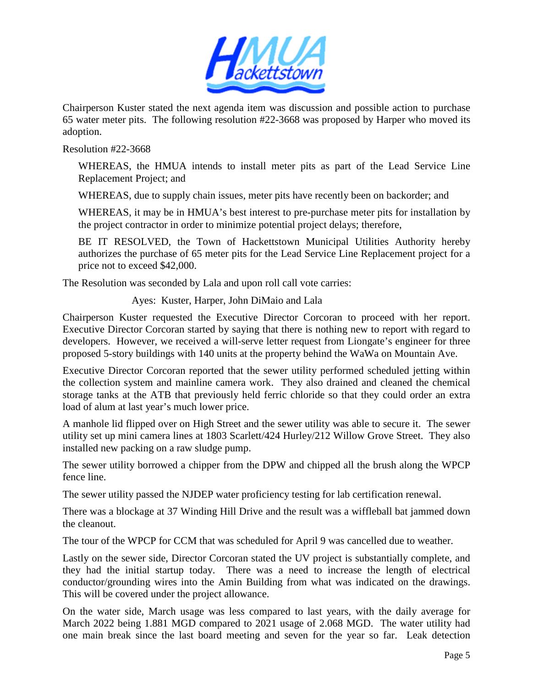

Chairperson Kuster stated the next agenda item was discussion and possible action to purchase 65 water meter pits. The following resolution #22-3668 was proposed by Harper who moved its adoption.

Resolution #22-3668

WHEREAS, the HMUA intends to install meter pits as part of the Lead Service Line Replacement Project; and

WHEREAS, due to supply chain issues, meter pits have recently been on backorder; and

WHEREAS, it may be in HMUA's best interest to pre-purchase meter pits for installation by the project contractor in order to minimize potential project delays; therefore,

BE IT RESOLVED, the Town of Hackettstown Municipal Utilities Authority hereby authorizes the purchase of 65 meter pits for the Lead Service Line Replacement project for a price not to exceed \$42,000.

The Resolution was seconded by Lala and upon roll call vote carries:

Ayes: Kuster, Harper, John DiMaio and Lala

Chairperson Kuster requested the Executive Director Corcoran to proceed with her report. Executive Director Corcoran started by saying that there is nothing new to report with regard to developers. However, we received a will-serve letter request from Liongate's engineer for three proposed 5-story buildings with 140 units at the property behind the WaWa on Mountain Ave.

Executive Director Corcoran reported that the sewer utility performed scheduled jetting within the collection system and mainline camera work. They also drained and cleaned the chemical storage tanks at the ATB that previously held ferric chloride so that they could order an extra load of alum at last year's much lower price.

A manhole lid flipped over on High Street and the sewer utility was able to secure it. The sewer utility set up mini camera lines at 1803 Scarlett/424 Hurley/212 Willow Grove Street. They also installed new packing on a raw sludge pump.

The sewer utility borrowed a chipper from the DPW and chipped all the brush along the WPCP fence line.

The sewer utility passed the NJDEP water proficiency testing for lab certification renewal.

There was a blockage at 37 Winding Hill Drive and the result was a wiffleball bat jammed down the cleanout.

The tour of the WPCP for CCM that was scheduled for April 9 was cancelled due to weather.

Lastly on the sewer side, Director Corcoran stated the UV project is substantially complete, and they had the initial startup today. There was a need to increase the length of electrical conductor/grounding wires into the Amin Building from what was indicated on the drawings. This will be covered under the project allowance.

On the water side, March usage was less compared to last years, with the daily average for March 2022 being 1.881 MGD compared to 2021 usage of 2.068 MGD. The water utility had one main break since the last board meeting and seven for the year so far. Leak detection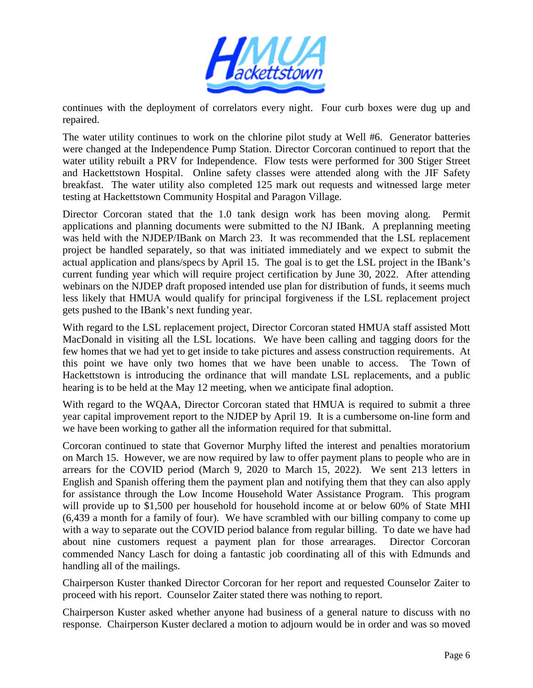

continues with the deployment of correlators every night. Four curb boxes were dug up and repaired.

The water utility continues to work on the chlorine pilot study at Well #6. Generator batteries were changed at the Independence Pump Station. Director Corcoran continued to report that the water utility rebuilt a PRV for Independence. Flow tests were performed for 300 Stiger Street and Hackettstown Hospital. Online safety classes were attended along with the JIF Safety breakfast. The water utility also completed 125 mark out requests and witnessed large meter testing at Hackettstown Community Hospital and Paragon Village.

Director Corcoran stated that the 1.0 tank design work has been moving along. Permit applications and planning documents were submitted to the NJ IBank. A preplanning meeting was held with the NJDEP/IBank on March 23. It was recommended that the LSL replacement project be handled separately, so that was initiated immediately and we expect to submit the actual application and plans/specs by April 15. The goal is to get the LSL project in the IBank's current funding year which will require project certification by June 30, 2022. After attending webinars on the NJDEP draft proposed intended use plan for distribution of funds, it seems much less likely that HMUA would qualify for principal forgiveness if the LSL replacement project gets pushed to the IBank's next funding year.

With regard to the LSL replacement project, Director Corcoran stated HMUA staff assisted Mott MacDonald in visiting all the LSL locations. We have been calling and tagging doors for the few homes that we had yet to get inside to take pictures and assess construction requirements. At this point we have only two homes that we have been unable to access. The Town of Hackettstown is introducing the ordinance that will mandate LSL replacements, and a public hearing is to be held at the May 12 meeting, when we anticipate final adoption.

With regard to the WQAA, Director Corcoran stated that HMUA is required to submit a three year capital improvement report to the NJDEP by April 19. It is a cumbersome on-line form and we have been working to gather all the information required for that submittal.

Corcoran continued to state that Governor Murphy lifted the interest and penalties moratorium on March 15. However, we are now required by law to offer payment plans to people who are in arrears for the COVID period (March 9, 2020 to March 15, 2022). We sent 213 letters in English and Spanish offering them the payment plan and notifying them that they can also apply for assistance through the Low Income Household Water Assistance Program. This program will provide up to \$1,500 per household for household income at or below 60% of State MHI (6,439 a month for a family of four). We have scrambled with our billing company to come up with a way to separate out the COVID period balance from regular billing. To date we have had about nine customers request a payment plan for those arrearages. Director Corcoran commended Nancy Lasch for doing a fantastic job coordinating all of this with Edmunds and handling all of the mailings.

Chairperson Kuster thanked Director Corcoran for her report and requested Counselor Zaiter to proceed with his report. Counselor Zaiter stated there was nothing to report.

Chairperson Kuster asked whether anyone had business of a general nature to discuss with no response. Chairperson Kuster declared a motion to adjourn would be in order and was so moved